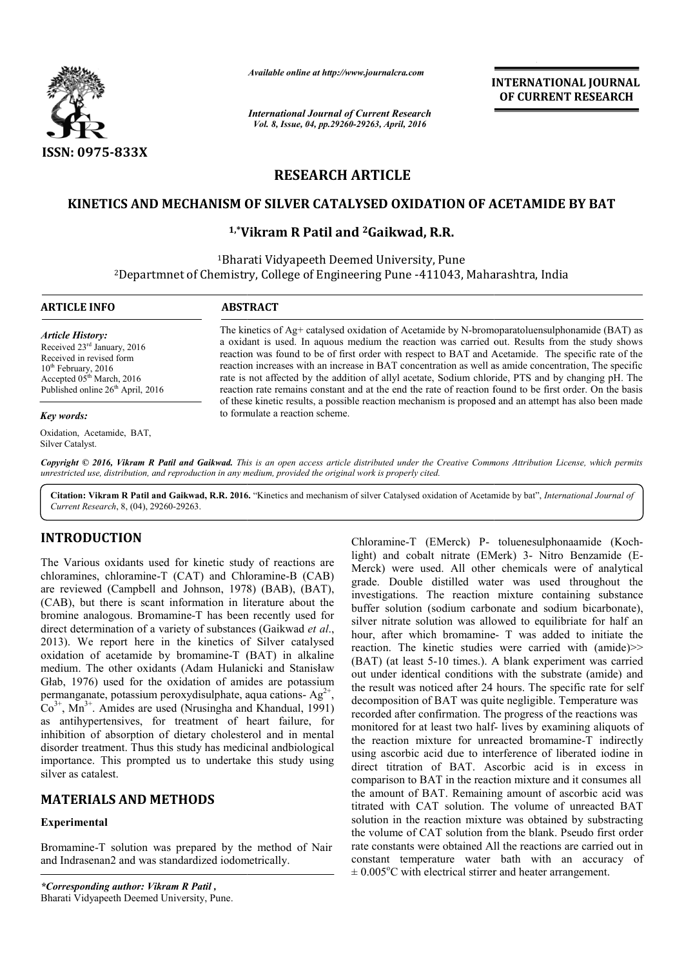

*Available online at http://www.journalcra.com*

*International Journal of Current Research Vol. 8, Issue, 04, pp.29260-29263, April, 2016*

**INTERNATIONAL JOURNAL OF CURRENT RESEARCH** 

# **RESEARCH ARTICLE**

### **KINETICS AND MECHANISM OF SILVER CATALYSED OXIDATION OF ACETAMIDE BY BAT CATALYSED OXIDATION OF ACETAMIDE**

## **1,\*Vikram R Patil Vikram and 2Gaikwad, R.R.**

1Bharati Bharati Vidyapeeth Deemed University, Pune <sup>2</sup>Departmnet of Chemistry, College of Engineering Pune -411043, Maharashtra, India

| <b>ARTICLE INFO</b>                                                                                                                                                                                      | <b>ABSTRACT</b>                                                                                                                                                                                                                                                                                                                                                                                                                                                                                                                                                                                                                        |
|----------------------------------------------------------------------------------------------------------------------------------------------------------------------------------------------------------|----------------------------------------------------------------------------------------------------------------------------------------------------------------------------------------------------------------------------------------------------------------------------------------------------------------------------------------------------------------------------------------------------------------------------------------------------------------------------------------------------------------------------------------------------------------------------------------------------------------------------------------|
| <b>Article History:</b><br>Received 23 <sup>rd</sup> January, 2016<br>Received in revised form<br>$10th$ February, 2016<br>Accepted $05th March$ , 2016<br>Published online 26 <sup>th</sup> April, 2016 | The kinetics of $Ag$ + catalysed oxidation of Acetamide by N-bromoparatoluensulphonamide (BAT) as<br>a oxidant is used. In aquous medium the reaction was carried out. Results from the study shows<br>reaction was found to be of first order with respect to BAT and Acetamide. The specific rate of the<br>reaction increases with an increase in BAT concentration as well as amide concentration. The specific<br>rate is not affected by the addition of allyl acetate, Sodium chloride, PTS and by changing pH. The<br>reaction rate remains constant and at the end the rate of reaction found to be first order. On the basis |
| <b>Key words:</b>                                                                                                                                                                                        | of these kinetic results, a possible reaction mechanism is proposed and an attempt has also been made<br>to formulate a reaction scheme.                                                                                                                                                                                                                                                                                                                                                                                                                                                                                               |
| Oxidation, Acetamide, BAT,<br>Silver Catalyst.                                                                                                                                                           |                                                                                                                                                                                                                                                                                                                                                                                                                                                                                                                                                                                                                                        |

Copyright © 2016, Vikram R Patil and Gaikwad. This is an open access article distributed under the Creative Commons Attribution License, which permits *unrestricted use, distribution, and reproduction in any medium, provided the original work is properly cited.*

Citation: Vikram R Patil and Gaikwad, R.R. 2016. "Kinetics and mechanism of silver Catalysed oxidation of Acetamide by bat", *International Journal of Current Research*, 8, (04), 29260-29263.

## **INTRODUCTION**

The Various oxidants used for kinetic study of reactions are chloramines, chloramine-T (CAT) and Chloramine-B (CAB) are reviewed (Campbell and Johnson, 1978) (BAB), (BAT), (CAB), but there is scant information in literature about the bromine analogous. Bromamine-T has been recently used for bromine analogous. Bromamine-T has been recently used for direct determination of a variety of substances (Gaikwad *et al.*, 2013). We report here in the kinetics of Silver catalysed oxidation of acetamide by bromamine-T (BAT) in alkaline oxidation of acetamide by bromamine-T (BAT) in alkaline<br>medium. The other oxidants (Adam Hulanicki and Stanisław Głab, 1976) used for the oxidation of amides are potassium permanganate, potassium peroxydisulphate, aqua cations- $Ag^{2+}$ ,  $Co<sup>3+</sup>$ , Mn<sup>3+</sup>. Amides are used (Nrusingha and Khandual, 1991) as antihypertensives, for treatment of heart failure, for inhibition of absorption of dietary cholesterol and in mental disorder treatment. Thus this study has medicinal andbiological importance. This prompted us to undertake this study using silver as catalest.

## **MATERIALS AND METHODS**

### **Experimental**

Bromamine-T solution was prepared by the method of Nair and Indrasenan2 and was standardized iodometrically.

*\*Corresponding author: Vikram R Patil ,* Bharati Vidyapeeth Deemed University, Pune.

Chloramine-T (EMerck) P-toluenesulphonaamide (Kochlight) and cobalt nitrate (EMerk) 3- Nitro Benzamide (E-Merck) were used. All other chemicals were of analytical grade. Double distilled water was used throughout the investigations. The reaction mixture containing substance buffer solution (sodium carbonate and sodium bicarbonate), silver nitrate solution was allowed to equilibriate for half an silver nitrate solution was allowed to equilibriate for half an hour, after which bromamine- T was added to initiate the reaction. The kinetic studies were carried with  $(amide)$  >> (BAT) (at least 5-10 times.). A blank experiment was carried (BAT) (at least 5-10 times.). A blank experiment was carried out under identical conditions with the substrate (amide) and the result was noticed after 24 hours. The specific rate for self decomposition of BAT was quite negligible. Temperature was recorded after confirmation. The progress of the reactions was decomposition of BAT was quite negligible. Temperature was<br>recorded after confirmation. The progress of the reactions was<br>monitored for at least two half- lives by examining aliquots of the reaction mixture for unreacted bromamine-T indirectly using ascorbic acid due to interference of liberated iodine in using ascorbic acid due to interference of liberated iodine in direct titration of BAT. Ascorbic acid is in excess in comparison to BAT in the reaction mixture and it consumes all comparison to BAT in the reaction mixture and it consumes all<br>the amount of BAT. Remaining amount of ascorbic acid was titrated with CAT solution. The volume of unreacted BAT solution in the reaction mixture was obtained by substracting the volume of CAT solution from the blank. Pseudo first order rate constants were obtained All the reactions are carried out in constant temperature water bath with an accuracy of  $\pm 0.005^{\circ}$ C with electrical stirrer and heater arrangement. **NAL JOURNAL<br>
TRESEARCH**<br> **TRESEARCH**<br> **COURNAL**<br> **TRESEARCH**<br> **COURNAL**<br> **COURNAL**<br> **TRESEARCH**<br> **COURNAT**<br> **COURNAL**<br> **COURNAL**<br> **COURNAL**<br> **COURNAL**<br> **COURNAL**<br> **COURNAL**<br> **COURNAL**<br> **COURNAL**<br> **COURNAL**<br> **COURNAL**<br> **CO**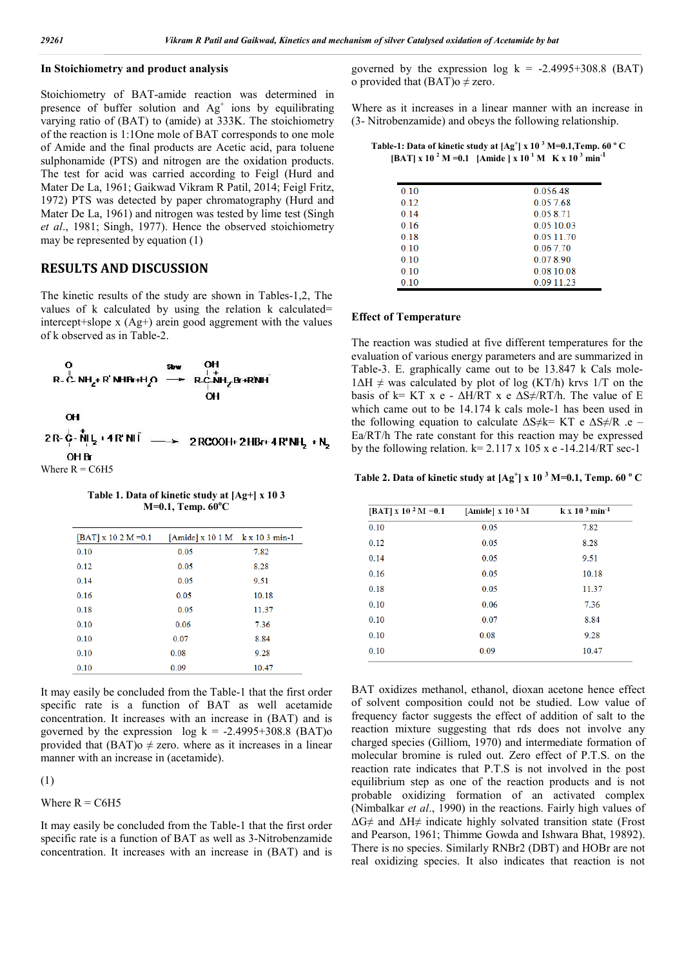#### **In Stoichiometry and product analysis**

Stoichiometry of BAT-amide reaction was determined in presence of buffer solution and  $Ag<sup>+</sup>$  ions by equilibrating varying ratio of (BAT) to (amide) at 333K. The stoichiometry of the reaction is 1:1One mole of BAT corresponds to one mole of Amide and the final products are Acetic acid, para toluene sulphonamide (PTS) and nitrogen are the oxidation products. The test for acid was carried according to Feigl (Hurd and Mater De La, 1961; Gaikwad Vikram R Patil, 2014; Feigl Fritz, 1972) PTS was detected by paper chromatography (Hurd and Mater De La, 1961) and nitrogen was tested by lime test (Singh *et al*., 1981; Singh, 1977). Hence the observed stoichiometry may be represented by equation (1)

### **RESULTS AND DISCUSSION**

The kinetic results of the study are shown in Tables-1,2, The values of k calculated by using the relation k calculated= intercept+slope x (Ag+) arein good aggrement with the values of k observed as in Table-2.



**Table 1. Data of kinetic study at [Ag+] x 10 3 M=0.1, Temp. 60<sup>o</sup> C**

| $[BAT]$ x 10 2 M = 0.1 | [Amide] x 10 1 M k x 10 3 min-1 |       |
|------------------------|---------------------------------|-------|
| 0.10                   | 0.05                            | 7.82  |
| 0.12                   | 0.05                            | 8.28  |
| 0.14                   | 0.05                            | 9.51  |
| 0.16                   | 0.05                            | 10.18 |
| 0.18                   | 0.05                            | 11.37 |
| 0.10                   | 0.06                            | 7.36  |
| 0.10                   | 0.07                            | 8.84  |
| 0.10                   | 0.08                            | 9.28  |
| 0.10                   | 0.09                            | 10.47 |

It may easily be concluded from the Table-1 that the first order specific rate is a function of BAT as well acetamide concentration. It increases with an increase in (BAT) and is governed by the expression  $log k = -2.4995+308.8$  (BAT)o provided that  $(BAT)$ o  $\neq$  zero. where as it increases in a linear manner with an increase in (acetamide).

#### (1)

Where  $R = C6H5$ 

It may easily be concluded from the Table-1 that the first order specific rate is a function of BAT as well as 3-Nitrobenzamide concentration. It increases with an increase in (BAT) and is governed by the expression  $log k = -2.4995+308.8$  (BAT) o provided that  $(BAT)$ o  $\neq$  zero.

Where as it increases in a linear manner with an increase in (3- Nitrobenzamide) and obeys the following relationship.

**Table-1: Data of kinetic study at [Ag<sup>+</sup> ] x 10 3 M=0.1,Temp. 60 <sup>o</sup> C**  $[BAT] \times 10^{-2} \text{ M} = 0.1$  [Amide ]  $\times 10^{-1} \text{ M}$  K  $\times 10^{-3} \text{ min}^{-1}$ 

| 0.10 | 0.056.48      |
|------|---------------|
| 0.12 | 0.057.68      |
| 0.14 | 0.058.71      |
| 016  | 0 0 5 1 0 0 3 |
| 0.18 | 0 0 5 1 1 7 0 |
| 0.10 | 0.067.70      |
| 0.10 | 0.078.90      |
| 0.10 | 0.0810.08     |
| 0.10 | 0.09 11.23    |
|      |               |

#### **Effect of Temperature**

The reaction was studied at five different temperatures for the evaluation of various energy parameters and are summarized in Table-3. E. graphically came out to be 13.847 k Cals mole- $1\Delta H \neq$  was calculated by plot of log (KT/h) krvs 1/T on the basis of k= KT x e -  $\Delta H/RT$  x e  $\Delta S \neq /RT/h$ . The value of E which came out to be 14.174 k cals mole-1 has been used in the following equation to calculate  $\Delta S \neq k= K T$  e  $\Delta S \neq R$  .e – Ea/RT/h The rate constant for this reaction may be expressed by the following relation.  $k= 2.117 \times 105 \times e -14.214/RT \text{ sec-1}$ 

**Table 2. Data of kinetic study at [Ag<sup>+</sup> ] x 10 <sup>3</sup> M=0.1, Temp. 60 <sup>o</sup> C**

| [BAT] x 10 <sup>2</sup> M = 0.1 | [Amide] $\rm x~10~^1M$ | $k \times 10^{-3}$ min <sup>-1</sup> |
|---------------------------------|------------------------|--------------------------------------|
| 0.10                            | 0.05                   | 7.82                                 |
| 0.12                            | 0.05                   | 8.28                                 |
| 0.14                            | 0.05                   | 9.51                                 |
| 0.16                            | 0.05                   | 10.18                                |
| 0.18                            | 0.05                   | 11.37                                |
| 0.10                            | 0.06                   | 7.36                                 |
| 0.10                            | 0.07                   | 8.84                                 |
| 0.10                            | 0.08                   | 9.28                                 |
| 0.10                            | 0.09                   | 10.47                                |

BAT oxidizes methanol, ethanol, dioxan acetone hence effect of solvent composition could not be studied. Low value of frequency factor suggests the effect of addition of salt to the reaction mixture suggesting that rds does not involve any charged species (Gilliom, 1970) and intermediate formation of molecular bromine is ruled out. Zero effect of P.T.S. on the reaction rate indicates that P.T.S is not involved in the post equilibrium step as one of the reaction products and is not probable oxidizing formation of an activated complex (Nimbalkar *et al*., 1990) in the reactions. Fairly high values of  $\Delta G \neq$  and  $\Delta H \neq$  indicate highly solvated transition state (Frost and Pearson, 1961; Thimme Gowda and Ishwara Bhat, 19892). There is no species. Similarly RNBr2 (DBT) and HOBr are not real oxidizing species. It also indicates that reaction is not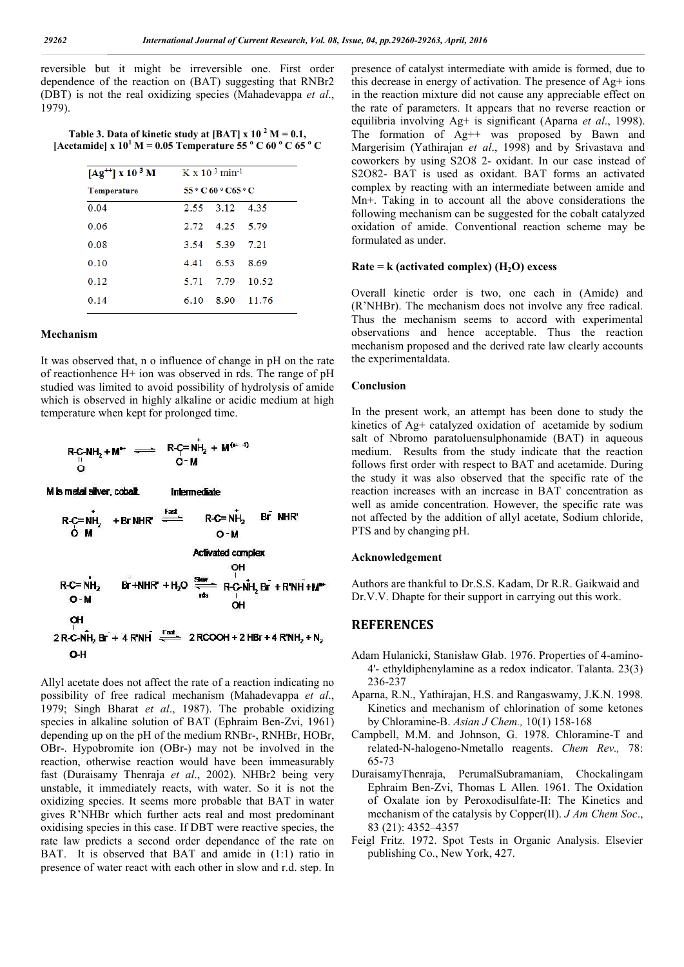reversible but it might be irreversible one. First order dependence of the reaction on (BAT) suggesting that RNBr2 (DBT) is not the real oxidizing species (Mahadevappa *et al*., 1979).

Table 3. Data of kinetic study at [BAT]  $x 10^{-2} M = 0.1$ , **[Acetamide]** x  $10^1$  **M** = 0.05 **Temperature 55**  $\degree$  C 60  $\degree$  C 65  $\degree$  C

| $[Ag^{+1}]$ x 10 <sup>3</sup> M K x 10 <sup>3</sup> min <sup>-1</sup> |                     |                |            |  |
|-----------------------------------------------------------------------|---------------------|----------------|------------|--|
| <b>Temperature</b>                                                    | 55 ° C 60 ° C65 ° C |                |            |  |
| 0.04                                                                  |                     | 2.55 3.12 4.35 |            |  |
| 0.06                                                                  |                     | 2.72 4.25 5.79 |            |  |
| 0.08                                                                  |                     | 3.54 5.39      | 7.21       |  |
| 0.10                                                                  |                     | 4.41 6.53      | 8.69       |  |
| 0.12                                                                  | 5.71                | 7.79           | 10.52      |  |
| 0.14                                                                  | 6.10                |                | 8.90 11.76 |  |

#### **Mechanism**

Mв

O-H

It was observed that, n o influence of change in pH on the rate of reactionhence H+ ion was observed in rds. The range of pH studied was limited to avoid possibility of hydrolysis of amide which is observed in highly alkaline or acidic medium at high temperature when kept for prolonged time.

$$
R-C-NH2 + Mav \implies R-C=NH2 + M(av-4)
$$
  
\nO  
\n
$$
m\t \text{et al s};
$$
  
\n
$$
R-C=NH2 + Br NHR' \implies R-C=NH2 \text{ Br NHR'}
$$

O-M  
\nO-M  
\nActivity 2 R-C=NH<sub>2</sub>   
\n
$$
R-C=NH_2
$$
   
\n $R+NHR + H_2O \frac{S_{WW}}{R_{rms}} R-C-NH_2 Br + R'NH + M''$   
\nO-M  
\nOH  
\n $QH$   
\n $2R-C-NH_2 Br + 4 R'NH \stackrel{Fact.}{\iff} 2 RCOOH + 2 HBr + 4 R'NH_2 + N_2$ 

Allyl acetate does not affect the rate of a reaction indicating no possibility of free radical mechanism (Mahadevappa *et al*., 1979; Singh Bharat *et al*., 1987). The probable oxidizing species in alkaline solution of BAT (Ephraim Ben-Zvi, 1961) depending up on the pH of the medium RNBr-, RNHBr, HOBr, OBr-. Hypobromite ion (OBr-) may not be involved in the reaction, otherwise reaction would have been immeasurably fast (Duraisamy Thenraja *et al*., 2002). NHBr2 being very unstable, it immediately reacts, with water. So it is not the oxidizing species. It seems more probable that BAT in water gives R'NHBr which further acts real and most predominant oxidising species in this case. If DBT were reactive species, the rate law predicts a second order dependance of the rate on BAT. It is observed that BAT and amide in (1:1) ratio in presence of water react with each other in slow and r.d. step. In

presence of catalyst intermediate with amide is formed, due to this decrease in energy of activation. The presence of Ag+ ions in the reaction mixture did not cause any appreciable effect on the rate of parameters. It appears that no reverse reaction or equilibria involving Ag+ is significant (Aparna *et al*., 1998). The formation of Ag++ was proposed by Bawn and Margerisim (Yathirajan *et al*., 1998) and by Srivastava and coworkers by using S2O8 2- oxidant. In our case instead of S2O82- BAT is used as oxidant. BAT forms an activated complex by reacting with an intermediate between amide and Mn+. Taking in to account all the above considerations the following mechanism can be suggested for the cobalt catalyzed oxidation of amide. Conventional reaction scheme may be formulated as under.

#### $Rate = k$  (activated complex)  $(H<sub>2</sub>O)$  excess

Overall kinetic order is two, one each in (Amide) and (R'NHBr). The mechanism does not involve any free radical. Thus the mechanism seems to accord with experimental observations and hence acceptable. Thus the reaction mechanism proposed and the derived rate law clearly accounts the experimentaldata.

#### **Conclusion**

In the present work, an attempt has been done to study the kinetics of Ag+ catalyzed oxidation of acetamide by sodium salt of Nbromo paratoluensulphonamide (BAT) in aqueous medium. Results from the study indicate that the reaction follows first order with respect to BAT and acetamide. During the study it was also observed that the specific rate of the reaction increases with an increase in BAT concentration as well as amide concentration. However, the specific rate was not affected by the addition of allyl acetate, Sodium chloride, PTS and by changing pH.

#### **Acknowledgement**

Authors are thankful to Dr.S.S. Kadam, Dr R.R. Gaikwaid and Dr.V.V. Dhapte for their support in carrying out this work.

### **REFERENCES**

- Adam Hulanicki, Stanisław Głab. 1976. Properties of 4-amino-4'- ethyldiphenylamine as a redox indicator. Talanta. 23(3) 236-237
- Aparna, R.N., Yathirajan, H.S. and Rangaswamy, J.K.N. 1998. Kinetics and mechanism of chlorination of some ketones by Chloramine-B. *Asian J Chem.,* 10(1) 158-168
- Campbell, M.M. and Johnson, G. 1978. Chloramine-T and related-N-halogeno-Nmetallo reagents. *Chem Rev.,* 78: 65-73
- DuraisamyThenraja, PerumalSubramaniam, Chockalingam Ephraim Ben-Zvi, Thomas L Allen. 1961. The Oxidation of Oxalate ion by Peroxodisulfate-II: The Kinetics and mechanism of the catalysis by Copper(II). *J Am Chem Soc*., 83 (21): 4352–4357
- Feigl Fritz. 1972. Spot Tests in Organic Analysis. Elsevier publishing Co., New York, 427.